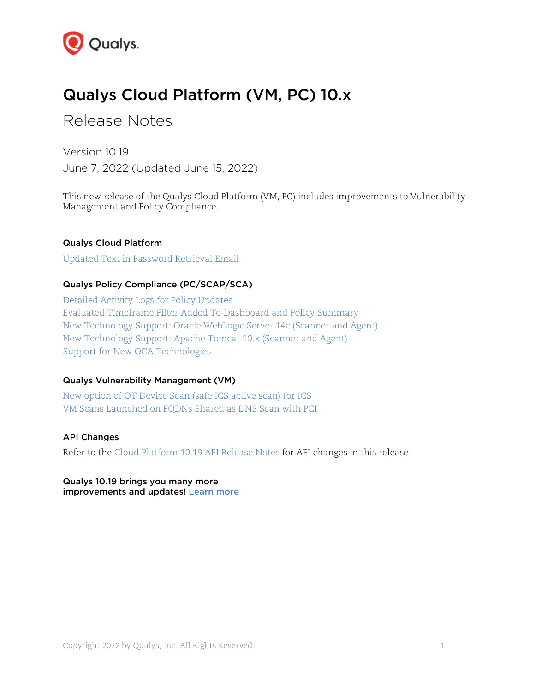

# Qualys Cloud Platform (VM, PC) 10.x

# Release Notes

Version 10.19 June 7, 2022 (Updated June 15, 2022)

This new release of the Qualys Cloud Platform (VM, PC) includes improvements to Vulnerability Management and Policy Compliance.

### Qualys Cloud Platform

[Updated Text in Password Retrieval Email](#page-1-0)

### Qualys Policy Compliance (PC/SCAP/SCA)

[Detailed Activity Logs for Policy Updates](#page-2-0) [Evaluated Timeframe Filter Added To Dashboard and Policy Summary](#page-3-0) [New Technology Support: Oracle WebLogic Server 14c \(Scanner and Agent\)](#page-5-0) [New Technology Support: Apache Tomcat 10.x \(Scanner and Agent\)](#page-6-0) [Support for New OCA Technologies](#page-8-0)

#### Qualys Vulnerability Management (VM)

[New option of OT Device Scan \(safe ICS active](#page-9-0) scan) for ICS [VM Scans Launched on FQDNs Shared as DNS Scan with PCI](#page-9-1)

### API Changes

Refer to the Cloud Platform [10.19 API Release Notes](https://www.qualys.com/docs/release-notes/qualys-cloud-platform-10.19-api-release-notes.pdf) for API changes in this release.

Qualys 10.19 brings you many more improvements and updates! [Learn more](#page-10-0)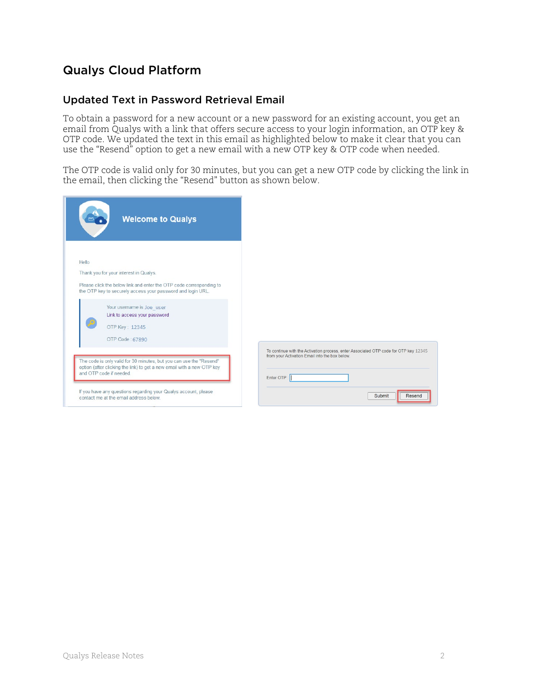## Qualys Cloud Platform

## <span id="page-1-0"></span>Updated Text in Password Retrieval Email

To obtain a password for a new account or a new password for an existing account, you get an email from Qualys with a link that offers secure access to your login information, an OTP key & OTP code. We updated the text in this email as highlighted below to make it clear that you can use the "Resend" option to get a new email with a new OTP key & OTP code when needed.

The OTP code is valid only for 30 minutes, but you can get a new OTP code by clicking the link in the email, then clicking the "Resend" button as shown below.

| <b>Welcome to Qualys</b>                                                                                                           |                                                                                                                                        |
|------------------------------------------------------------------------------------------------------------------------------------|----------------------------------------------------------------------------------------------------------------------------------------|
| Hello                                                                                                                              |                                                                                                                                        |
| Thank you for your interest in Qualys.                                                                                             |                                                                                                                                        |
| Please click the below link and enter the OTP code corresponding to<br>the OTP key to securely access your password and login URL. |                                                                                                                                        |
| Your username is Joe user                                                                                                          |                                                                                                                                        |
| Link to access your password                                                                                                       |                                                                                                                                        |
| OTP Key: 12345                                                                                                                     |                                                                                                                                        |
| OTP Code: 67890                                                                                                                    |                                                                                                                                        |
| The code is only valid for 30 minutes, but you can use the "Resend"                                                                | To continue with the Activation process, enter Associated OTP code for OTP key 12345<br>from your Activation Email into the box below. |
| option (after clicking the link) to get a new email with a new OTP key<br>and OTP code if needed.                                  |                                                                                                                                        |
|                                                                                                                                    | Enter OTP:                                                                                                                             |
| If you have any questions regarding your Qualys account, please<br>contact me at the email address below.                          | Submit<br>Resend                                                                                                                       |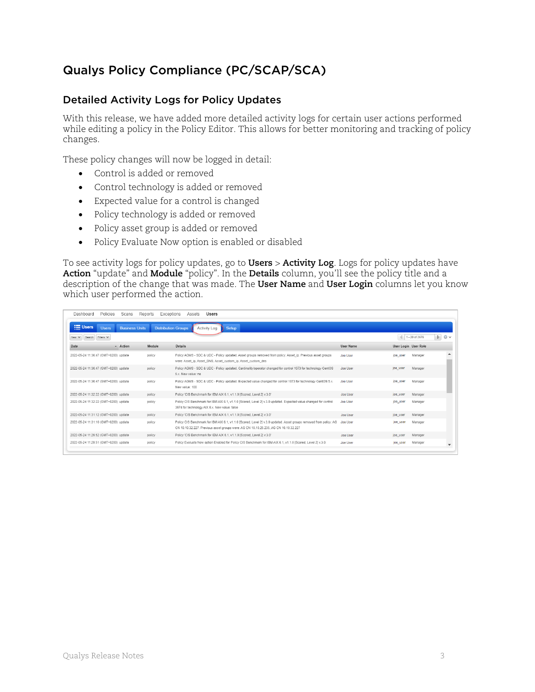## Qualys Policy Compliance (PC/SCAP/SCA)

## <span id="page-2-0"></span>Detailed Activity Logs for Policy Updates

With this release, we have added more detailed activity logs for certain user actions performed while editing a policy in the Policy Editor. This allows for better monitoring and tracking of policy changes.

These policy changes will now be logged in detail:

- Control is added or removed
- Control technology is added or removed
- Expected value for a control is changed
- Policy technology is added or removed
- Policy asset group is added or removed
- Policy Evaluate Now option is enabled or disabled

To see activity logs for policy updates, go to **Users** > **Activity Log**. Logs for policy updates have **Action** "update" and **Module** "policy". In the **Details** column, you'll see the policy title and a description of the change that was made. The **User Name** and **User Login** columns let you know which user performed the action.

| Dashboard<br>Policies                   | Scans                 | Reports<br>Exceptions      | Users<br>Assets                                                                                                                                                                                           |                 |                      |                                             |
|-----------------------------------------|-----------------------|----------------------------|-----------------------------------------------------------------------------------------------------------------------------------------------------------------------------------------------------------|-----------------|----------------------|---------------------------------------------|
| $\equiv$ Users<br><b>Users</b>          | <b>Business Units</b> | <b>Distribution Groups</b> | <b>Setup</b><br>Activity Log                                                                                                                                                                              |                 |                      |                                             |
| Filters V<br>New $\mathbf{v}$<br>Search |                       |                            |                                                                                                                                                                                                           |                 |                      | $\triangleright$<br>◎ v<br>$1 - 20$ of 2676 |
| Date                                    | - Action              | Module                     | Details                                                                                                                                                                                                   | User Name       | User Login User Role |                                             |
| 2022-05-24 11:36:47 (GMT+0200) update   |                       | policy                     | Policy AGMS - SDC & UDC - Policy updated. Asset groups removed from policy: Asset ip. Previous asset groups<br>were: Asset_ip, Asset_DNS, Asset_custom_ip, Asset_custom_dns                               | Joe User        | joe user             | Manager                                     |
| 2022-05-24 11:36:47 (GMT+0200) update   |                       | policy                     | Policy AGMS - SDC & UDC - Policy updated. Cardinality/operator changed for control 1073 for technology CentOS<br>5 x. New value: ne                                                                       | Joe User        | joe user             | Manager                                     |
| 2022-05-24 11:36:47 (GMT+0200) update   |                       | policy                     | Policy AGMS - SDC & UDC - Policy updated. Expected value changed for control 1073 for technology CentOS 5.x.<br>New value: 100                                                                            | Joe User        | joe user             | Manager                                     |
| 2022-05-24 11:32:22 (GMT+0200) update   |                       | policy                     | Policy 'CIS Benchmark for IBM AIX 6.1, v1.1.0 [Scored, Level 2] v.3.0"                                                                                                                                    | <b>Joe User</b> | joe_user             | Manager                                     |
| 2022-05-24 11:32:22 (GMT+0200) update   |                       | policy                     | Policy CIS Benchmark for IBM AIX 6.1, v1.1.0 [Scored, Level 2] v.3.0 updated. Expected value changed for control<br>3974 for technology AIX 6.x. New value: false                                         | Joe User        | joe user             | Manager                                     |
| 2022-05-24 11:31:12 (GMT+0200) update   |                       | policy                     | Policy 'CIS Benchmark for IBM AIX 6.1, v1.1.0 [Scored, Level 2] v.3.0'                                                                                                                                    | <b>Joe User</b> | joe_user             | Manager                                     |
| 2022-05-24 11:31:10 (GMT+0200) update   |                       | policy                     | Policy CIS Benchmark for IBM AIX 6.1, v1.1.0 [Scored, Level 2] v.3.0 updated. Asset groups removed from policy: AG<br>CN 10.10.32.227. Previous asset groups were: AG CN 10.10.25.235, AG CN 10.10.32.227 | Joe User        | joe user             | Manager                                     |
| 2022-05-24 11:29:52 (GMT+0200) update   |                       | policy                     | Policy 'CIS Benchmark for IBM AIX 6.1, v1.1.0 [Scored, Level 2] v.3.0'                                                                                                                                    | Joe User        | loe user             | Manager                                     |
| 2022-05-24 11:29:51 (GMT+0200) update   |                       | policy                     | Policy Evaluate Now option Enabled for Policy CIS Benchmark for IBM AIX 6.1, v1.1.0 [Scored, Level 2] v.3.0.                                                                                              | <b>Joe User</b> | joe user             | Manager                                     |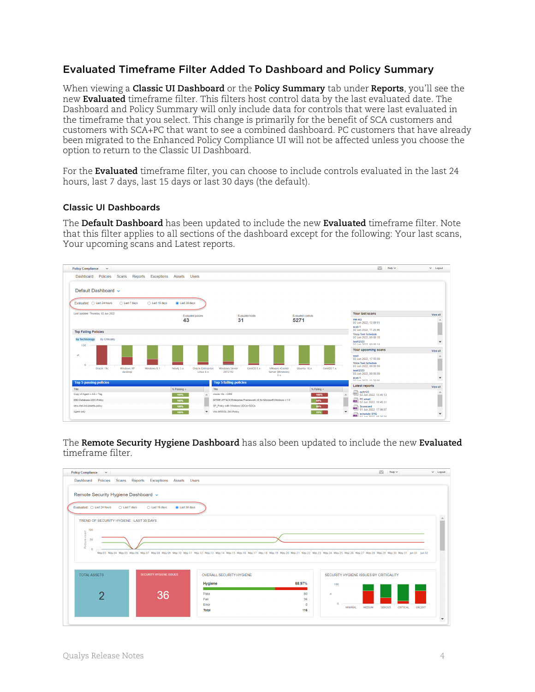## <span id="page-3-0"></span>Evaluated Timeframe Filter Added To Dashboard and Policy Summary

When viewing a **Classic UI Dashboard** or the **Policy Summary** tab under **Reports**, you'll see the new **Evaluated** timeframe filter. This filters host control data by the last evaluated date. The Dashboard and Policy Summary will only include data for controls that were last evaluated in the timeframe that you select. This change is primarily for the benefit of SCA customers and customers with SCA+PC that want to see a combined dashboard. PC customers that have already been migrated to the Enhanced Policy Compliance UI will not be affected unless you choose the option to return to the Classic UI Dashboard.

For the **Evaluated** timeframe filter, you can choose to include controls evaluated in the last 24 hours, last 7 days, last 15 days or last 30 days (the default).

#### Classic UI Dashboards

The **Default Dashboard** has been updated to include the new **Evaluated** timeframe filter. Note that this filter applies to all sections of the dashboard except for the following: Your last scans, Your upcoming scans and Latest reports.



The **Remote Security Hygiene Dashboard** has also been updated to include the new **Evaluated** timeframe filter.

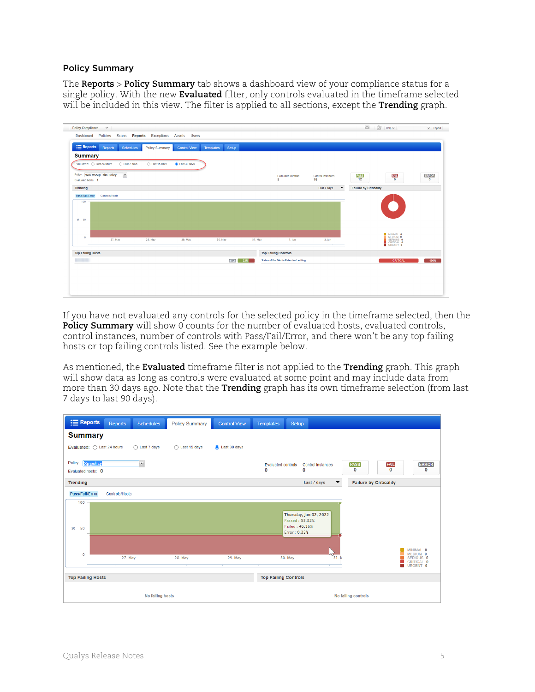#### Policy Summary

The **Reports** > **Policy Summary** tab shows a dashboard view of your compliance status for a single policy. With the new **Evaluated** filter, only controls evaluated in the timeframe selected will be included in this view. The filter is applied to all sections, except the **Trending** graph.

| <b>Policy Compliance</b><br>$\mathbf{v}$                                                                                                 | $\sim$ 1<br>$\sqrt{2}$<br>$Heip \sim$                     | $\mathbf{v}$ Logout |
|------------------------------------------------------------------------------------------------------------------------------------------|-----------------------------------------------------------|---------------------|
| Reports Exceptions Assets Users<br>Dashboard<br>Policies<br>Scans                                                                        |                                                           |                     |
| $\equiv$ Reports<br>Reports<br>Setup<br><b>Schedules</b><br>Templates<br><b>Policy Summary</b><br><b>Control View</b>                    |                                                           |                     |
| <b>Summary</b>                                                                                                                           |                                                           |                     |
| Evaluated: C Last 24 hours<br>◯ Last 7 days<br>◯ Last 15 days<br>Last 30 days                                                            |                                                           |                     |
| $\backsim$<br>Policy: Win-MSSQL-2k8-Policy<br><b>Evaluated controls</b><br>Control instances<br>18<br>$\mathbf{3}$<br>Evaluated hosts: 1 | <b>ERROR</b><br><b>PASS</b><br>12<br>FAIL<br>6<br>$\circ$ |                     |
| <b>Trending</b><br>Last 7 days                                                                                                           | <b>Failure by Criticality</b><br>$\blacktriangledown$     |                     |
| <b>3R</b> 50                                                                                                                             | MINIMAL 0<br>MEDIUM 0                                     |                     |
| $\ddot{\phantom{0}}$<br>27. May<br>28. May<br>29. May<br><b>30. May</b><br>31. May<br>1. Jun<br>2. Jun                                   | SERIOUS 0<br>CRITICAL 6<br>URGENT 0                       |                     |
|                                                                                                                                          |                                                           |                     |
| <b>Top Failing Hosts</b><br><b>Top Failing Controls</b><br>$\boxed{\text{TPA}}$ 33%<br>Status of the 'Media Retention' setting           | <b>CRITICAL</b>                                           | 100%                |
|                                                                                                                                          |                                                           |                     |
|                                                                                                                                          |                                                           |                     |
|                                                                                                                                          |                                                           |                     |
|                                                                                                                                          |                                                           |                     |
|                                                                                                                                          |                                                           |                     |

If you have not evaluated any controls for the selected policy in the timeframe selected, then the **Policy Summary** will show 0 counts for the number of evaluated hosts, evaluated controls, control instances, number of controls with Pass/Fail/Error, and there won't be any top failing hosts or top failing controls listed. See the example below.

As mentioned, the **Evaluated** timeframe filter is not applied to the **Trending** graph. This graph will show data as long as controls were evaluated at some point and may include data from more than 30 days ago. Note that the **Trending** graph has its own timeframe selection (from last 7 days to last 90 days).

| $\equiv$ Reports<br><b>Reports</b><br><b>Schedules</b>  | <b>Policy Summary</b>  | <b>Control View</b> | <b>Templates</b><br>Setup                                       |                                                                     |
|---------------------------------------------------------|------------------------|---------------------|-----------------------------------------------------------------|---------------------------------------------------------------------|
| <b>Summary</b>                                          |                        |                     |                                                                 |                                                                     |
| Evaluated: O Last 24 hours<br>$\bigcirc$ Last 7 days    | $\bigcap$ Last 15 days | Last 30 days        |                                                                 |                                                                     |
| Policy: Xp policy<br>$\checkmark$<br>Evaluated hosts: 0 |                        |                     | <b>Evaluated controls</b><br><b>Control instances</b><br>0<br>0 | <b>FAIL</b><br><b>ERROR</b><br><b>PASS</b><br>$\mathbf 0$<br>0<br>0 |
| <b>Trending</b>                                         |                        |                     | Last 7 days                                                     | <b>Failure by Criticality</b><br>▼                                  |
| Pass/Fail/Error<br>Controls/Hosts                       |                        |                     |                                                                 |                                                                     |
| 100                                                     |                        |                     |                                                                 |                                                                     |
|                                                         |                        |                     | Thursday, Jun 02, 2022<br>Passed: 53.32%                        |                                                                     |
| $\aleph$<br>50                                          |                        |                     | Failed: 46.36%<br>Error: 0.33%                                  |                                                                     |
|                                                         |                        |                     |                                                                 |                                                                     |
|                                                         |                        |                     |                                                                 | MINIMAL 0                                                           |
| $\mathbf 0$<br>27. May                                  | 28. May                | 29. May             | 4z<br>30. May<br>31. N                                          | MEDIUM 0<br>SERIOUS 0<br>CRITICAL 0                                 |
|                                                         |                        |                     |                                                                 | URGENT 0                                                            |
| <b>Top Failing Hosts</b>                                |                        |                     | <b>Top Failing Controls</b>                                     |                                                                     |
|                                                         | No failing hosts       |                     |                                                                 | No failing controls                                                 |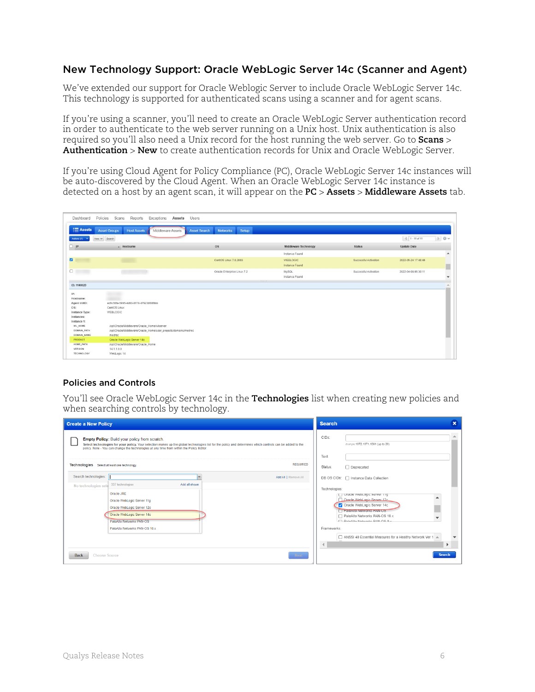### <span id="page-5-0"></span>New Technology Support: Oracle WebLogic Server 14c (Scanner and Agent)

We've extended our support for Oracle Weblogic Server to include Oracle WebLogic Server 14c. This technology is supported for authenticated scans using a scanner and for agent scans.

If you're using a scanner, you'll need to create an Oracle WebLogic Server authentication record in order to authenticate to the web server running on a Unix host. Unix authentication is also required so you'll also need a Unix record for the host running the web server. Go to **Scans** > **Authentication** > **New** to create authentication records for Unix and Oracle WebLogic Server.

If you're using Cloud Agent for Policy Compliance (PC), Oracle WebLogic Server 14c instances will be auto-discovered by the Cloud Agent. When an Oracle WebLogic Server 14c instance is detected on a host by an agent scan, it will appear on the **PC** > **Assets** > **Middleware Assets** tab.

| Dashboard                     | Policies Scans<br>Reports<br>Exceptions Assets Users            |                                                 |                       |                       |                     |                      |
|-------------------------------|-----------------------------------------------------------------|-------------------------------------------------|-----------------------|-----------------------|---------------------|----------------------|
| <b>E</b> Assets               | <b>Host Assets</b><br><b>Asset Groups</b><br>Middleware Assets  | Setup<br><b>Networks</b><br><b>Asset Search</b> |                       |                       |                     |                      |
| Actions (1) V                 | New W Search                                                    |                                                 |                       |                       | $1.11$ of 11        | D Ov                 |
| $\Box$ ip                     | $-$ Hostname                                                    | <b>OS</b>                                       | Middleware Technology | <b>Status</b>         | <b>Update Date</b>  |                      |
|                               |                                                                 |                                                 | Instance Found        |                       |                     | $\blacktriangle$     |
| ø                             |                                                                 | CentOS Linux 7.8.2003                           | WEBLOGIC              | Successful Activation | 2022-05-24 17:48:46 |                      |
|                               |                                                                 |                                                 | Instance Found        |                       |                     | ▉                    |
| 0                             |                                                                 | Oracle Enterprise Linux 7.2                     | MySQL                 | Successful Activation | 2022-04-08 05:30:11 |                      |
|                               |                                                                 |                                                 | Instance Found        |                       |                     | $\blacktriangledown$ |
| ID: 1140029                   |                                                                 |                                                 |                       |                       |                     |                      |
|                               |                                                                 |                                                 |                       |                       |                     |                      |
| IP:                           |                                                                 |                                                 |                       |                       |                     |                      |
| Hostname:                     |                                                                 |                                                 |                       |                       |                     |                      |
| Agent UUID:                   | ed9c56fa-5995-4d63-8178-d7923860f8bb                            |                                                 |                       |                       |                     |                      |
| OS:                           | CentOS Linux                                                    |                                                 |                       |                       |                     |                      |
| Instance Type:                | WEBLOGIC                                                        |                                                 |                       |                       |                     |                      |
| Instances:                    |                                                                 |                                                 |                       |                       |                     |                      |
| Instance 1:<br><b>WL_HOME</b> | /opt/Oracle/Middleware/Oracle_Home/wiserver                     |                                                 |                       |                       |                     |                      |
| <b>DOMAIN PATH</b>            | /opt/Oracle/Middleware/Oracle_Home/user_projects/domains/medrec |                                                 |                       |                       |                     |                      |
| <b>DOMAIN NAME</b>            | medrec                                                          |                                                 |                       |                       |                     |                      |
| PRODUCT                       | Oracle WebLogic Server 14c                                      |                                                 |                       |                       |                     |                      |
| HOME_PATH                     | /opt/Oracle/Middleware/Oracle Home                              |                                                 |                       |                       |                     |                      |
| <b>VERSION</b>                | 14.1.1.0.0                                                      |                                                 |                       |                       |                     |                      |
| <b>TECHNOLOGY</b>             | WebLogic 14                                                     |                                                 |                       |                       |                     |                      |

#### Policies and Controls

You'll see Oracle WebLogic Server 14c in the **Technologies** list when creating new policies and when searching controls by technology.

| <b>Create a New Policy</b>                                                                                                                                                                                                                                                                               | <b>Search</b>                                                                                                                                                                                                                                                                                                                          | $\mathbf x$ |
|----------------------------------------------------------------------------------------------------------------------------------------------------------------------------------------------------------------------------------------------------------------------------------------------------------|----------------------------------------------------------------------------------------------------------------------------------------------------------------------------------------------------------------------------------------------------------------------------------------------------------------------------------------|-------------|
| Empty Policy: Build your policy from scratch.<br>Select technologies for your policy. Your selection makes up the global technologies list for the policy and determines which controls can be added to the<br>policy. Note - You can change the technologies at any time from within the Policy Editor. | CIDs:<br>Example:1072,1071,1091 (up to 20)<br>Text:                                                                                                                                                                                                                                                                                    |             |
| <b>REQUIRED</b><br>Technologies Select at least one technology.                                                                                                                                                                                                                                          | Status:<br>Deprecated                                                                                                                                                                                                                                                                                                                  |             |
| Search technologies:<br>Add All   Remove All<br>337 technologies<br>Add all shown<br>No technologies sele<br>Oracle JRE<br>Oracle WebLogic Server 11g<br>Oracle WebLogic Server 12c<br>Oracle WebLogic Server 14c<br>PaloAlto Networks PAN-OS<br>PaloAlto Networks PAN-OS 10.x                           | DB OS CIDs:   Instance Data Collection<br>Technologies:<br>U Chacle webLogic server ing<br>Oracle WebLogic Server 12c<br>Oracle WebLogic Server 14c<br><b>PaloAlto Networks PAN-US</b><br>□ PaloAlto Networks PAN-OS 10.x<br>DelaAlta Maturaria RAN OR B v<br>Frameworks:<br>ANSSI 40 Essential Measures for a Healthy Network Ver 1 A |             |
| <b>Choose Source</b><br><b>Back</b><br><b>Next</b>                                                                                                                                                                                                                                                       | <b>Search</b>                                                                                                                                                                                                                                                                                                                          |             |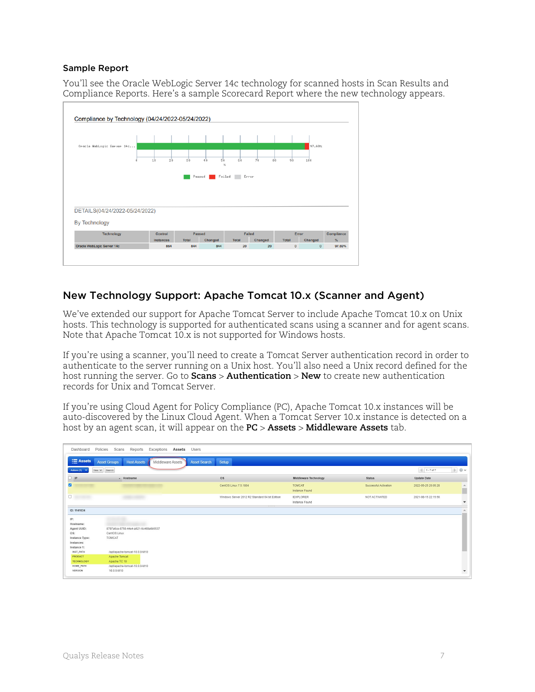#### Sample Report

You'll see the Oracle WebLogic Server 14c technology for scanned hosts in Scan Results and Compliance Reports. Here's a sample Scorecard Report where the new technology appears.



## <span id="page-6-0"></span>New Technology Support: Apache Tomcat 10.x (Scanner and Agent)

We've extended our support for Apache Tomcat Server to include Apache Tomcat 10.x on Unix hosts. This technology is supported for authenticated scans using a scanner and for agent scans. Note that Apache Tomcat 10.x is not supported for Windows hosts.

If you're using a scanner, you'll need to create a Tomcat Server authentication record in order to authenticate to the server running on a Unix host. You'll also need a Unix record defined for the host running the server. Go to **Scans** > **Authentication** > **New** to create new authentication records for Unix and Tomcat Server.

If you're using Cloud Agent for Policy Compliance (PC), Apache Tomcat 10.x instances will be auto-discovered by the Linux Cloud Agent. When a Tomcat Server 10.x instance is detected on a host by an agent scan, it will appear on the **PC** > **Assets** > **Middleware Assets** tab.

| Dashboard             | Policies<br>Scans<br>Reports<br>Exceptions<br>Assets           | Users                                                     |                                    |                       |                     |                          |
|-----------------------|----------------------------------------------------------------|-----------------------------------------------------------|------------------------------------|-----------------------|---------------------|--------------------------|
| $\equiv$ Assets       | Middleware Assets<br><b>Host Assets</b><br><b>Asset Groups</b> | Setup<br><b>Asset Search</b>                              |                                    |                       |                     |                          |
| Actions (1)           | Search<br>New $\vee$                                           |                                                           |                                    |                       | 1.7 of 7            | Dov                      |
| $\Box$ IP             | - Hostname                                                     | <b>OS</b>                                                 | Middleware Technology              | <b>Status</b>         | Update Date         |                          |
| ø                     |                                                                | CentOS Linux 7.5.1804                                     | <b>TOMCAT</b><br>Instance Found    | Successful Activation | 2022-05-25 20:05:28 | A.                       |
| $\Box$                |                                                                | Windows Server 2012 R2 Standard 64 bit Edition<br>$+1000$ | <b>IEXPLORER</b><br>Instance Found | NOT ACTIVATED         | 2021-08-15 22:15:56 | $\mathbf{v}$             |
| ID: 1141034           |                                                                |                                                           |                                    |                       |                     |                          |
| IP:<br>Hostname:      |                                                                |                                                           |                                    |                       |                     |                          |
| Agent UUID:           | 8707a6ce-8758-44e4-a621-6c469a6b5537                           |                                                           |                                    |                       |                     |                          |
| OS:<br>Instance Type: | CentOS Linux<br>TOMCAT                                         |                                                           |                                    |                       |                     |                          |
| Instances:            |                                                                |                                                           |                                    |                       |                     |                          |
| Instance 1:           |                                                                |                                                           |                                    |                       |                     |                          |
| INST_PATH             | /opt/apache-tomcat-10.0.0-M10                                  |                                                           |                                    |                       |                     |                          |
| PRODUCT               | Apache Tomcat                                                  |                                                           |                                    |                       |                     |                          |
| <b>TECHNOLOGY</b>     | Apache TC 10                                                   |                                                           |                                    |                       |                     |                          |
| HOME PATH             | /opt/apache-tomcat-10.0.0-M10                                  |                                                           |                                    |                       |                     |                          |
| <b>VERSION</b>        | 10.0.0-M10                                                     |                                                           |                                    |                       |                     | $\overline{\phantom{a}}$ |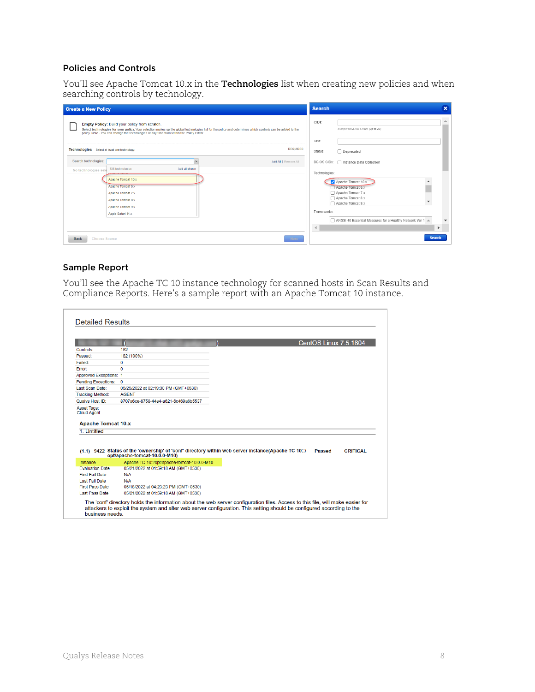#### Policies and Controls

You'll see Apache Tomcat 10.x in the **Technologies** list when creating new policies and when searching controls by technology.

| <b>Create a New Policy</b>                                                                                                                                                                                                                                                                                      | <b>Search</b>                                                                                                                                                                              | $\mathbf x$ |
|-----------------------------------------------------------------------------------------------------------------------------------------------------------------------------------------------------------------------------------------------------------------------------------------------------------------|--------------------------------------------------------------------------------------------------------------------------------------------------------------------------------------------|-------------|
| <b>Empty Policy: Build your policy from scratch.</b><br>Select technologies for your policy. Your selection makes up the global technologies list for the policy and determines which controls can be added to the<br>policy. Note - You can change the technologies at any time from within the Policy Editor. | CIDs:<br>Example: 1072, 1071, 1091 (up to 20)<br>Text:                                                                                                                                     | ▲           |
| <b>REQUIRED</b><br>Technologies Select at least one technology.<br>Search technologies:<br>Add All   Remove All<br>338 technologies<br>Add all shown<br>No technologies sele<br>Apache Tomcat 10.x<br>Apache Tomcat 6.x<br>Apache Tomcat 7.x<br>Apache Tomcat 8.x                                               | Status:<br>Deprecated<br>DB OS CIDs:   Instance Data Collection<br>Technologies:<br>Apache Tomcat 10.x<br>Apache Tomcat 6.x<br>Apache Tomcat 7.x<br>Apache Tomcat 8.x<br>Apache Tomcat 9.x |             |
| Apache Tomcat 9.x<br>Apple Safari 11.x<br><b>Choose Source</b><br><b>Back</b><br><b>Next</b>                                                                                                                                                                                                                    | Frameworks:<br>ANSSI 40 Essential Measures for a Healthy Network Ver 1 A<br>$\blacktriangleleft$<br>▶<br><b>Search</b>                                                                     |             |

#### Sample Report

You'll see the Apache TC 10 instance technology for scanned hosts in Scan Results and Compliance Reports. Here's a sample report with an Apache Tomcat 10 instance.

|                                                                |                                                                              | <b>CentOS Linux 7.5.1804</b>                                                                                                     |
|----------------------------------------------------------------|------------------------------------------------------------------------------|----------------------------------------------------------------------------------------------------------------------------------|
| Controls:                                                      | 182                                                                          |                                                                                                                                  |
| Passed:                                                        | 182 (100%)                                                                   |                                                                                                                                  |
| Failed:                                                        | 0                                                                            |                                                                                                                                  |
| Frror:                                                         | $\Omega$                                                                     |                                                                                                                                  |
| Approved Exceptions: 1                                         |                                                                              |                                                                                                                                  |
| <b>Pending Exceptions:</b>                                     | 0                                                                            |                                                                                                                                  |
| Last Scan Date:                                                | 05/25/2022 at 02:19:30 PM (GMT+0530)                                         |                                                                                                                                  |
| <b>Tracking Method:</b>                                        | <b>AGENT</b>                                                                 |                                                                                                                                  |
| Qualys Host ID:                                                | 8707a6ce-8758-44e4-a621-6c469a6b5537                                         |                                                                                                                                  |
| Asset Tags:<br><b>Cloud Agent</b><br><b>Apache Tomcat 10.x</b> |                                                                              |                                                                                                                                  |
| 1. Untitled                                                    |                                                                              |                                                                                                                                  |
|                                                                |                                                                              | (1.1) 9422 Status of the 'ownership' of 'conf' directory within web server instance(Apache TC 10::/<br>Passed<br><b>CRITICAL</b> |
| Instance                                                       | opt/apache-tomcat-10.0.0-M10)<br>Apache TC 10::/opt/apache-tomcat-10.0.0-M10 |                                                                                                                                  |
| <b>Evaluation Date</b>                                         | 05/21/2022 at 01:59:18 AM (GMT+0530)                                         |                                                                                                                                  |
| <b>First Fail Date</b>                                         | N/A                                                                          |                                                                                                                                  |
| Last Fail Date                                                 | N/A                                                                          |                                                                                                                                  |
| <b>First Pass Date</b>                                         | 05/18/2022 at 04:23:23 PM (GMT+0530)                                         |                                                                                                                                  |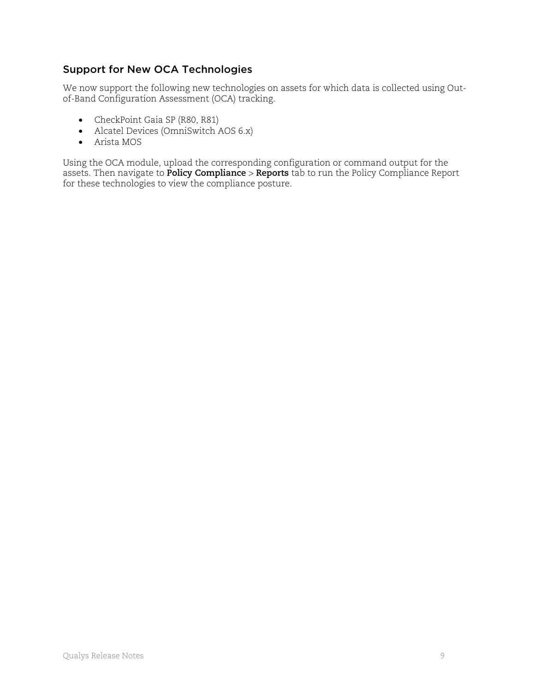## <span id="page-8-0"></span>Support for New OCA Technologies

We now support the following new technologies on assets for which data is collected using Outof-Band Configuration Assessment (OCA) tracking.

- CheckPoint Gaia SP (R80, R81)
- Alcatel Devices (OmniSwitch AOS 6.x)
- Arista MOS

Using the OCA module, upload the corresponding configuration or command output for the assets. Then navigate to **Policy Compliance** > **Reports** tab to run the Policy Compliance Report for these technologies to view the compliance posture.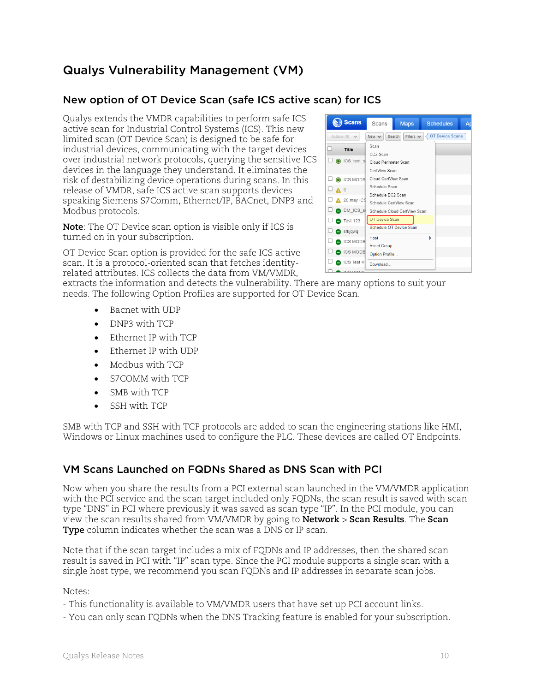## Qualys Vulnerability Management (VM)

## <span id="page-9-0"></span>New option of OT Device Scan (safe ICS active scan) for ICS

Qualys extends the VMDR capabilities to perform safe ICS active scan for Industrial Control Systems (ICS). This new limited scan (OT Device Scan) is designed to be safe for industrial devices, communicating with the target devices over industrial network protocols, querying the sensitive ICS devices in the language they understand. It eliminates the risk of destabilizing device operations during scans. In this release of VMDR, safe ICS active scan supports devices speaking Siemens S7Comm, Ethernet/IP, BACnet, DNP3 and Modbus protocols.

**Note**: The OT Device scan option is visible only if ICS is turned on in your subscription.

OT Device Scan option is provided for the safe ICS active scan. It is a protocol-oriented scan that fetches identityrelated attributes. ICS collects the data from VM/VMDR,

extracts the information and detects the vulnerability. There are many options to suit your needs. The following Option Profiles are supported for OT Device Scan.

- Bacnet with UDP
- DNP3 with TCP
- Ethernet IP with TCP
- Ethernet IP with UDP
- Modbus with TCP
- S7COMM with TCP
- SMB with TCP
- SSH with TCP

SMB with TCP and SSH with TCP protocols are added to scan the engineering stations like HMI, Windows or Linux machines used to configure the PLC. These devices are called OT Endpoints.

### <span id="page-9-1"></span>VM Scans Launched on FQDNs Shared as DNS Scan with PCI

Now when you share the results from a PCI external scan launched in the VM/VMDR application with the PCI service and the scan target included only FQDNs, the scan result is saved with scan type "DNS" in PCI where previously it was saved as scan type "IP". In the PCI module, you can view the scan results shared from VM/VMDR by going to **Network** > **Scan Results**. The **Scan Type** column indicates whether the scan was a DNS or IP scan.

Note that if the scan target includes a mix of FQDNs and IP addresses, then the shared scan result is saved in PCI with "IP" scan type. Since the PCI module supports a single scan with a single host type, we recommend you scan FQDNs and IP addresses in separate scan jobs.

Notes:

- This functionality is available to VM/VMDR users that have set up PCI account links.

- You can only scan FQDNs when the DNS Tracking feature is enabled for your subscription.